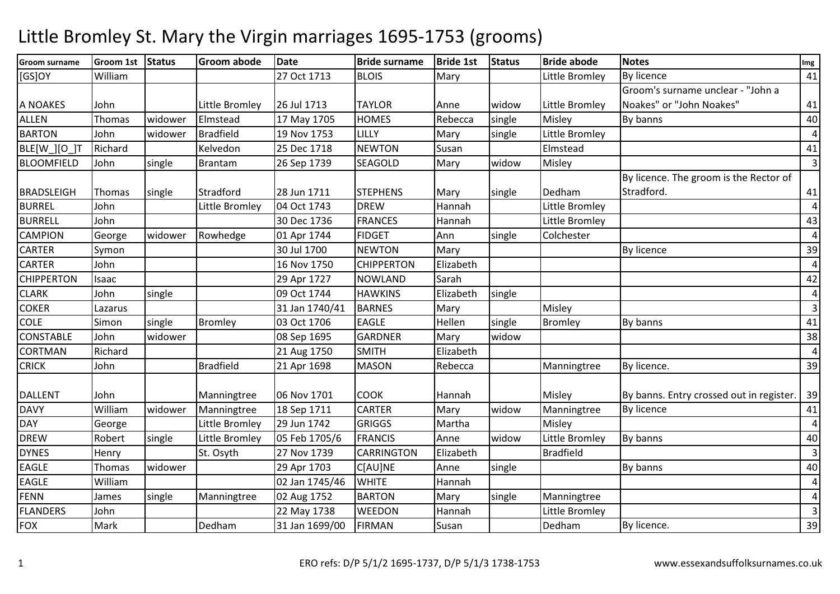| Groom surname     | <b>Groom 1st</b> | Status  | <b>Groom abode</b> | <b>Date</b>    | <b>Bride surname</b> | <b>Bride 1st</b> | <b>Status</b> | <b>Bride abode</b> | <b>Notes</b>                             | Img             |
|-------------------|------------------|---------|--------------------|----------------|----------------------|------------------|---------------|--------------------|------------------------------------------|-----------------|
| $[GS]$ OY         | William          |         |                    | 27 Oct 1713    | <b>BLOIS</b>         | Mary             |               | Little Bromley     | By licence                               | 41              |
|                   |                  |         |                    |                |                      |                  |               |                    | Groom's surname unclear - "John a        |                 |
| A NOAKES          | John             |         | Little Bromley     | 26 Jul 1713    | <b>TAYLOR</b>        | Anne             | widow         | Little Bromley     | Noakes" or "John Noakes"                 | 41              |
| <b>ALLEN</b>      | <b>Thomas</b>    | widower | Elmstead           | 17 May 1705    | <b>HOMES</b>         | Rebecca          | single        | Misley             | By banns                                 | 40              |
| <b>BARTON</b>     | John             | widower | <b>Bradfield</b>   | 19 Nov 1753    | LILLY                | Mary             | single        | Little Bromley     |                                          | $\vert$         |
| BLE[W_][O_]T      | Richard          |         | Kelvedon           | 25 Dec 1718    | <b>NEWTON</b>        | Susan            |               | Elmstead           |                                          | 41              |
| <b>BLOOMFIELD</b> | John             | single  | Brantam            | 26 Sep 1739    | <b>SEAGOLD</b>       | Mary             | widow         | Misley             |                                          | $\overline{3}$  |
|                   |                  |         |                    |                |                      |                  |               |                    | By licence. The groom is the Rector of   |                 |
| <b>BRADSLEIGH</b> | Thomas           | single  | Stradford          | 28 Jun 1711    | <b>STEPHENS</b>      | Mary             | single        | Dedham             | Stradford.                               | 41              |
| <b>BURREL</b>     | John             |         | Little Bromley     | 04 Oct 1743    | <b>DREW</b>          | Hannah           |               | Little Bromley     |                                          | $\vert 4 \vert$ |
| <b>BURRELL</b>    | John             |         |                    | 30 Dec 1736    | <b>FRANCES</b>       | Hannah           |               | Little Bromley     |                                          | 43              |
| <b>CAMPION</b>    | George           | widower | Rowhedge           | 01 Apr 1744    | <b>FIDGET</b>        | Ann              | single        | Colchester         |                                          | $\vert$         |
| <b>CARTER</b>     | Symon            |         |                    | 30 Jul 1700    | <b>NEWTON</b>        | Mary             |               |                    | By licence                               | 39              |
| <b>CARTER</b>     | John             |         |                    | 16 Nov 1750    | <b>CHIPPERTON</b>    | Elizabeth        |               |                    |                                          | $\vert 4 \vert$ |
| <b>CHIPPERTON</b> | Isaac            |         |                    | 29 Apr 1727    | <b>NOWLAND</b>       | Sarah            |               |                    |                                          | 42              |
| <b>CLARK</b>      | John             | single  |                    | 09 Oct 1744    | <b>HAWKINS</b>       | Elizabeth        | single        |                    |                                          | $\vert 4 \vert$ |
| <b>COKER</b>      | Lazarus          |         |                    | 31 Jan 1740/41 | <b>BARNES</b>        | Mary             |               | Misley             |                                          | $\overline{3}$  |
| <b>COLE</b>       | Simon            | single  | <b>Bromley</b>     | 03 Oct 1706    | <b>EAGLE</b>         | Hellen           | single        | Bromley            | By banns                                 | 41              |
| <b>CONSTABLE</b>  | John             | widower |                    | 08 Sep 1695    | <b>GARDNER</b>       | Mary             | widow         |                    |                                          | 38              |
| <b>CORTMAN</b>    | Richard          |         |                    | 21 Aug 1750    | <b>SMITH</b>         | Elizabeth        |               |                    |                                          | $\vert$         |
| <b>CRICK</b>      | John             |         | <b>Bradfield</b>   | 21 Apr 1698    | <b>MASON</b>         | Rebecca          |               | Manningtree        | By licence.                              | 39              |
| <b>DALLENT</b>    | John             |         | Manningtree        | 06 Nov 1701    | <b>COOK</b>          | Hannah           |               | Misley             | By banns. Entry crossed out in register. | 39              |
| <b>DAVY</b>       | William          | widower | Manningtree        | 18 Sep 1711    | <b>CARTER</b>        | Mary             | widow         | Manningtree        | By licence                               | 41              |
| <b>DAY</b>        | George           |         | Little Bromley     | 29 Jun 1742    | <b>GRIGGS</b>        | Martha           |               | Misley             |                                          | $\vert$         |
| <b>DREW</b>       | Robert           | single  | Little Bromley     | 05 Feb 1705/6  | <b>FRANCIS</b>       | Anne             | widow         | Little Bromley     | By banns                                 | 40              |
| <b>DYNES</b>      | Henry            |         | St. Osyth          | 27 Nov 1739    | <b>CARRINGTON</b>    | Elizabeth        |               | <b>Bradfield</b>   |                                          | $\overline{3}$  |
| <b>EAGLE</b>      | Thomas           | widower |                    | 29 Apr 1703    | C[AU]NE              | Anne             | single        |                    | By banns                                 | 40              |
| <b>EAGLE</b>      | William          |         |                    | 02 Jan 1745/46 | <b>WHITE</b>         | Hannah           |               |                    |                                          | $\vert 4 \vert$ |
| <b>FENN</b>       | James            | single  | Manningtree        | 02 Aug 1752    | <b>BARTON</b>        | Mary             | single        | Manningtree        |                                          | $\vert 4 \vert$ |
| <b>FLANDERS</b>   | John             |         |                    | 22 May 1738    | WEEDON               | Hannah           |               | Little Bromley     |                                          | $\overline{3}$  |
| <b>FOX</b>        | Mark             |         | Dedham             | 31 Jan 1699/00 | <b>FIRMAN</b>        | Susan            |               | Dedham             | By licence.                              | 39              |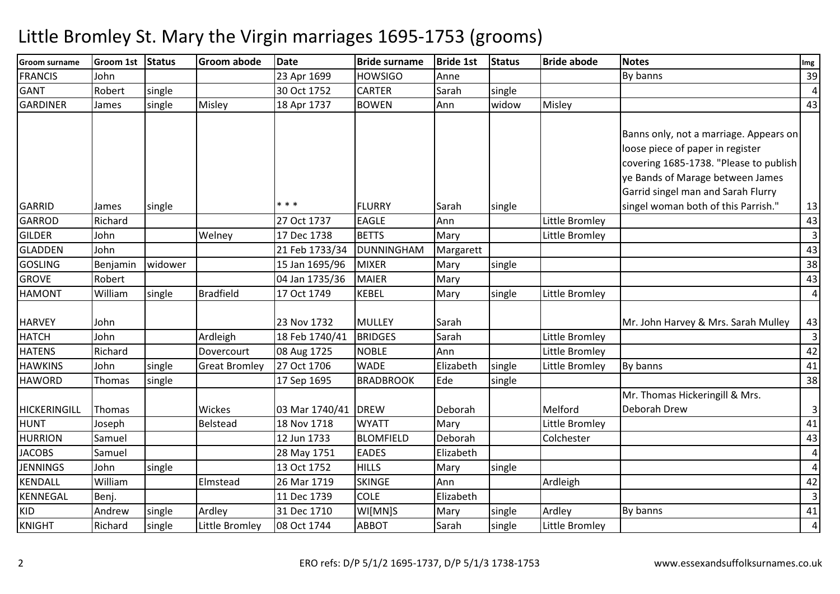| <b>Groom surname</b> | <b>Groom 1st</b> | <b>Status</b> | <b>Groom abode</b>   | <b>Date</b>         | <b>Bride surname</b> | <b>Bride 1st</b> | <b>Status</b> | <b>Bride abode</b> | <b>Notes</b>                                                                                                         | Img                     |
|----------------------|------------------|---------------|----------------------|---------------------|----------------------|------------------|---------------|--------------------|----------------------------------------------------------------------------------------------------------------------|-------------------------|
| <b>FRANCIS</b>       | John             |               |                      | 23 Apr 1699         | <b>HOWSIGO</b>       | Anne             |               |                    | By banns                                                                                                             | 39                      |
| <b>GANT</b>          | Robert           | single        |                      | 30 Oct 1752         | <b>CARTER</b>        | Sarah            | single        |                    |                                                                                                                      | $\overline{4}$          |
| <b>GARDINER</b>      | James            | single        | Misley               | 18 Apr 1737         | <b>BOWEN</b>         | Ann              | widow         | Misley             |                                                                                                                      | 43                      |
|                      |                  |               |                      |                     |                      |                  |               |                    | Banns only, not a marriage. Appears on<br>loose piece of paper in register<br>covering 1685-1738. "Please to publish |                         |
|                      |                  |               |                      |                     |                      |                  |               |                    | ye Bands of Marage between James                                                                                     |                         |
|                      |                  |               |                      |                     |                      |                  |               |                    | Garrid singel man and Sarah Flurry                                                                                   |                         |
| <b>GARRID</b>        | James            | single        |                      | * * *               | FLURRY               | Sarah            | single        |                    | singel woman both of this Parrish."                                                                                  | 13                      |
| <b>GARROD</b>        | Richard          |               |                      | 27 Oct 1737         | <b>EAGLE</b>         | Ann              |               | Little Bromley     |                                                                                                                      | 43                      |
| <b>GILDER</b>        | John             |               | Welney               | 17 Dec 1738         | <b>BETTS</b>         | Mary             |               | Little Bromley     |                                                                                                                      | $\overline{3}$          |
| <b>GLADDEN</b>       | John             |               |                      | 21 Feb 1733/34      | <b>DUNNINGHAM</b>    | Margarett        |               |                    |                                                                                                                      | 43                      |
| <b>GOSLING</b>       | Benjamin         | widower       |                      | 15 Jan 1695/96      | <b>MIXER</b>         | Mary             | single        |                    |                                                                                                                      | 38                      |
| <b>GROVE</b>         | Robert           |               |                      | 04 Jan 1735/36      | <b>MAIER</b>         | Mary             |               |                    |                                                                                                                      | 43                      |
| <b>HAMONT</b>        | William          | single        | <b>Bradfield</b>     | 17 Oct 1749         | <b>KEBEL</b>         | Mary             | single        | Little Bromley     |                                                                                                                      | $\overline{4}$          |
| <b>HARVEY</b>        | John             |               |                      | 23 Nov 1732         | <b>MULLEY</b>        | Sarah            |               |                    | Mr. John Harvey & Mrs. Sarah Mulley                                                                                  | 43                      |
| <b>HATCH</b>         | John             |               | Ardleigh             | 18 Feb 1740/41      | <b>BRIDGES</b>       | Sarah            |               | Little Bromley     |                                                                                                                      | $\overline{\mathbf{3}}$ |
| <b>HATENS</b>        | Richard          |               | Dovercourt           | 08 Aug 1725         | <b>NOBLE</b>         | Ann              |               | Little Bromley     |                                                                                                                      | 42                      |
| <b>HAWKINS</b>       | John             | single        | <b>Great Bromley</b> | 27 Oct 1706         | <b>WADE</b>          | Elizabeth        | single        | Little Bromley     | By banns                                                                                                             | 41                      |
| <b>HAWORD</b>        | Thomas           | single        |                      | 17 Sep 1695         | <b>BRADBROOK</b>     | Ede              | single        |                    |                                                                                                                      | 38                      |
| <b>HICKERINGILL</b>  | Thomas           |               | Wickes               | 03 Mar 1740/41 DREW |                      | Deborah          |               | Melford            | Mr. Thomas Hickeringill & Mrs.<br>Deborah Drew                                                                       | 3                       |
| <b>HUNT</b>          | Joseph           |               | Belstead             | 18 Nov 1718         | <b>WYATT</b>         | Mary             |               | Little Bromley     |                                                                                                                      | 41                      |
| <b>HURRION</b>       | Samuel           |               |                      | 12 Jun 1733         | <b>BLOMFIELD</b>     | Deborah          |               | Colchester         |                                                                                                                      | 43                      |
| <b>JACOBS</b>        | Samuel           |               |                      | 28 May 1751         | <b>EADES</b>         | Elizabeth        |               |                    |                                                                                                                      | $\overline{4}$          |
| <b>JENNINGS</b>      | John             | single        |                      | 13 Oct 1752         | <b>HILLS</b>         | Mary             | single        |                    |                                                                                                                      | $\overline{4}$          |
| <b>KENDALL</b>       | William          |               | Elmstead             | 26 Mar 1719         | <b>SKINGE</b>        | Ann              |               | Ardleigh           |                                                                                                                      | 42                      |
| KENNEGAL             | Benj.            |               |                      | 11 Dec 1739         | <b>COLE</b>          | Elizabeth        |               |                    |                                                                                                                      | $\overline{\mathbf{3}}$ |
| <b>KID</b>           | Andrew           | single        | Ardley               | 31 Dec 1710         | WI[MN]S              | Mary             | single        | Ardley             | By banns                                                                                                             | 41                      |
| <b>KNIGHT</b>        | Richard          | single        | Little Bromley       | 08 Oct 1744         | <b>ABBOT</b>         | Sarah            | single        | Little Bromley     |                                                                                                                      | $\overline{\mathbf{4}}$ |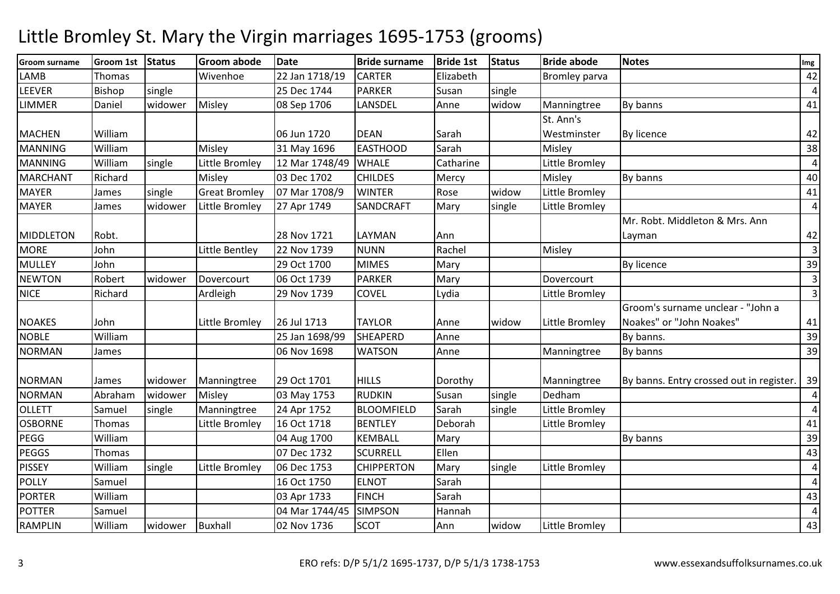| <b>Groom surname</b> | <b>Groom 1st</b> | <b>Status</b> | <b>Groom abode</b>   | <b>Date</b>    | <b>Bride surname</b> | <b>Bride 1st</b> | <b>Status</b> | <b>Bride abode</b>    | <b>Notes</b>                             | Img            |
|----------------------|------------------|---------------|----------------------|----------------|----------------------|------------------|---------------|-----------------------|------------------------------------------|----------------|
| LAMB                 | Thomas           |               | Wivenhoe             | 22 Jan 1718/19 | <b>CARTER</b>        | Elizabeth        |               | <b>Bromley parva</b>  |                                          | 42             |
| LEEVER               | Bishop           | single        |                      | 25 Dec 1744    | <b>PARKER</b>        | Susan            | single        |                       |                                          | $\overline{4}$ |
| <b>LIMMER</b>        | Daniel           | widower       | Misley               | 08 Sep 1706    | LANSDEL              | Anne             | widow         | Manningtree           | By banns                                 | 41             |
|                      |                  |               |                      |                |                      |                  |               | St. Ann's             |                                          |                |
| <b>MACHEN</b>        | William          |               |                      | 06 Jun 1720    | <b>DEAN</b>          | Sarah            |               | Westminster           | <b>By licence</b>                        | 42             |
| <b>MANNING</b>       | William          |               | Misley               | 31 May 1696    | <b>EASTHOOD</b>      | Sarah            |               | Misley                |                                          | 38             |
| <b>MANNING</b>       | William          | single        | Little Bromley       | 12 Mar 1748/49 | <b>WHALE</b>         | Catharine        |               | <b>Little Bromley</b> |                                          | $\overline{4}$ |
| <b>MARCHANT</b>      | Richard          |               | Misley               | 03 Dec 1702    | <b>CHILDES</b>       | Mercy            |               | Misley                | By banns                                 | 40             |
| <b>MAYER</b>         | James            | single        | <b>Great Bromley</b> | 07 Mar 1708/9  | <b>WINTER</b>        | Rose             | widow         | Little Bromley        |                                          | 41             |
| <b>MAYER</b>         | James            | widower       | Little Bromley       | 27 Apr 1749    | <b>SANDCRAFT</b>     | Mary             | single        | Little Bromley        |                                          | $\overline{4}$ |
|                      |                  |               |                      |                |                      |                  |               |                       | Mr. Robt. Middleton & Mrs. Ann           |                |
| <b>MIDDLETON</b>     | Robt.            |               |                      | 28 Nov 1721    | LAYMAN               | Ann              |               |                       | Layman                                   | 42             |
| <b>MORE</b>          | John             |               | Little Bentley       | 22 Nov 1739    | <b>NUNN</b>          | Rachel           |               | Misley                |                                          | $\overline{3}$ |
| <b>MULLEY</b>        | John             |               |                      | 29 Oct 1700    | <b>MIMES</b>         | Mary             |               |                       | <b>By licence</b>                        | 39             |
| <b>NEWTON</b>        | Robert           | widower       | Dovercourt           | 06 Oct 1739    | <b>PARKER</b>        | Mary             |               | Dovercourt            |                                          | $\overline{3}$ |
| <b>NICE</b>          | Richard          |               | Ardleigh             | 29 Nov 1739    | <b>COVEL</b>         | Lydia            |               | Little Bromley        |                                          | $\overline{3}$ |
|                      |                  |               |                      |                |                      |                  |               |                       | Groom's surname unclear - "John a        |                |
| <b>NOAKES</b>        | John             |               | Little Bromley       | 26 Jul 1713    | <b>TAYLOR</b>        | Anne             | widow         | Little Bromley        | Noakes" or "John Noakes"                 | 41             |
| <b>NOBLE</b>         | William          |               |                      | 25 Jan 1698/99 | <b>SHEAPERD</b>      | Anne             |               |                       | By banns.                                | 39             |
| <b>NORMAN</b>        | James            |               |                      | 06 Nov 1698    | <b>WATSON</b>        | Anne             |               | Manningtree           | By banns                                 | 39             |
|                      |                  |               |                      |                |                      |                  |               |                       |                                          |                |
| <b>NORMAN</b>        | James            | widower       | Manningtree          | 29 Oct 1701    | <b>HILLS</b>         | Dorothy          |               | Manningtree           | By banns. Entry crossed out in register. | 39             |
| <b>NORMAN</b>        | Abraham          | widower       | Misley               | 03 May 1753    | <b>RUDKIN</b>        | Susan            | single        | Dedham                |                                          | $\overline{4}$ |
| <b>OLLETT</b>        | Samuel           | single        | Manningtree          | 24 Apr 1752    | <b>BLOOMFIELD</b>    | Sarah            | single        | Little Bromley        |                                          | $\pmb{4}$      |
| <b>OSBORNE</b>       | Thomas           |               | Little Bromley       | 16 Oct 1718    | <b>BENTLEY</b>       | Deborah          |               | Little Bromley        |                                          | 41             |
| PEGG                 | William          |               |                      | 04 Aug 1700    | <b>KEMBALL</b>       | Mary             |               |                       | By banns                                 | 39             |
| <b>PEGGS</b>         | Thomas           |               |                      | 07 Dec 1732    | <b>SCURRELL</b>      | Ellen            |               |                       |                                          | 43             |
| <b>PISSEY</b>        | William          | single        | Little Bromley       | 06 Dec 1753    | <b>CHIPPERTON</b>    | Mary             | single        | Little Bromley        |                                          | $\pmb{4}$      |
| <b>POLLY</b>         | Samuel           |               |                      | 16 Oct 1750    | <b>ELNOT</b>         | Sarah            |               |                       |                                          | $\overline{4}$ |
| <b>PORTER</b>        | William          |               |                      | 03 Apr 1733    | <b>FINCH</b>         | Sarah            |               |                       |                                          | 43             |
| <b>POTTER</b>        | Samuel           |               |                      | 04 Mar 1744/45 | <b>SIMPSON</b>       | Hannah           |               |                       |                                          | $\overline{4}$ |
| <b>RAMPLIN</b>       | William          | widower       | <b>Buxhall</b>       | 02 Nov 1736    | <b>SCOT</b>          | Ann              | widow         | <b>Little Bromley</b> |                                          | 43             |